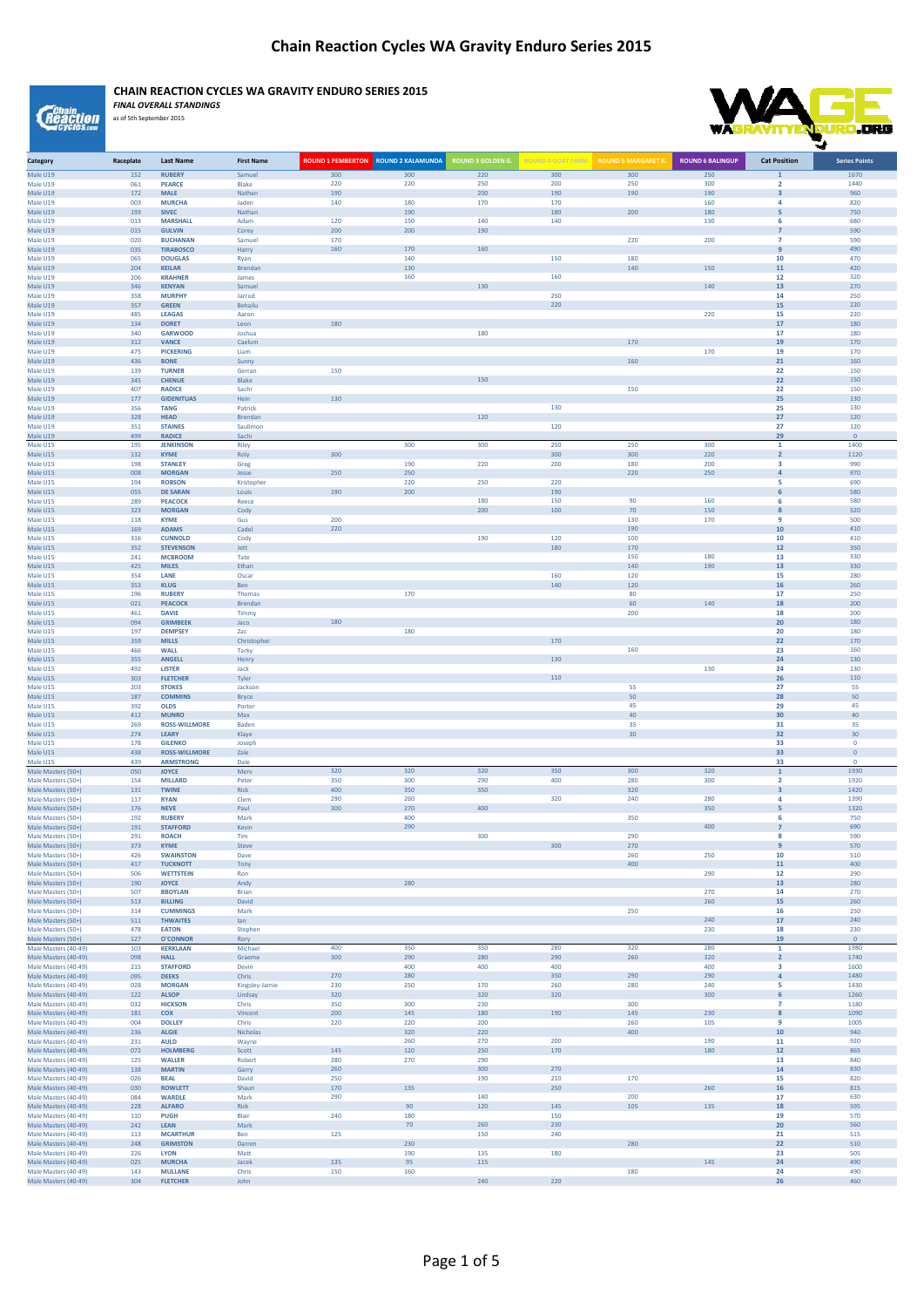*<u>Genain</u>*<br>*Reaction* 

**CHAIN REACTION CYCLES WA GRAVITY ENDURO SERIES 2015**



*FINAL OVERALL STANDINGS* as of 5th September 2015

| Category                                     | Raceplate  | Last Name                          | <b>First Name</b>   | <b>ROUND 1 PEMBERTON ROUND 2 KALAMUNDA</b> |     | <b>ROUND 3 GOLDEN G</b> |            |     | <b>ROUND 6 BALINGUP</b> | <b>Cat Position</b>      | <b>Series Points</b> |
|----------------------------------------------|------------|------------------------------------|---------------------|--------------------------------------------|-----|-------------------------|------------|-----|-------------------------|--------------------------|----------------------|
| Male U19                                     | 152        | <b>RUBERY</b>                      | Samuel              | 300                                        | 300 | 220                     | 300        | 300 | 250                     |                          | 1670                 |
| Male U19                                     | 061        | <b>PEARCE</b>                      | Blake               | 220                                        | 220 | 250                     | 200        | 250 | 300                     | $\overline{2}$           | 1440                 |
| Male U19                                     | 172        | <b>MALE</b>                        | Nathan              | 190                                        |     | 200                     | 190        | 190 | 190                     | $\overline{\mathbf{3}}$  | 960                  |
| Male U19                                     | 003        | <b>MURCHA</b>                      | Jaden               | 140                                        | 180 | 170                     | 170        |     | 160                     | 4                        | 820                  |
| Male U19                                     | 193        | <b>SIVEC</b>                       | Nathan              |                                            | 190 |                         | 180        | 200 | 180                     | 5                        | 750                  |
| Male U19                                     | 013        | <b>MARSHALL</b>                    | Adam                | 120                                        | 150 | 140                     | 140        |     | 130                     | 6                        | 680                  |
| Male U19                                     | 015        | <b>GULVIN</b>                      | Corey               | 200                                        | 200 | 190                     |            |     |                         | $\overline{7}$           | 590                  |
| Male U19                                     | 020        | <b>BUCHANAN</b>                    | Samuel              | 170                                        |     |                         |            | 220 | 200                     | $\overline{7}$           | 590                  |
| Male U19                                     | 035        | <b>TIRABOSCO</b>                   | Harry               | 160                                        | 170 | 160                     |            |     |                         | 9                        | 490                  |
| Male U19                                     | 065        | <b>DOUGLAS</b>                     | Rvan                |                                            | 140 |                         | 150        | 180 |                         | 10                       | 470                  |
| Male U19                                     | 204        | <b>KEILAR</b>                      | Brendan             |                                            | 130 |                         |            | 140 | 150                     | 11                       | 420                  |
| Male U19                                     | 206        | <b>KRAHNER</b>                     | James               |                                            | 160 |                         | 160        |     |                         | 12                       | 320                  |
| Male U19                                     | 346        | <b>KENYAN</b>                      | Samuel              |                                            |     | 130                     |            |     | 140                     | 13                       | 270                  |
| Male U19                                     | 358        | <b>MURPHY</b>                      | Jarrod              |                                            |     |                         | 250        |     |                         | 14                       | 250                  |
| Male U19                                     | 357        | <b>GREEN</b>                       | Behailu             |                                            |     |                         | 220        |     |                         | 15                       | 220                  |
| Male U19                                     | 485        | <b>LEAGAS</b>                      | Aaron               |                                            |     |                         |            |     | 220                     | 15                       | 220                  |
| Male U19                                     | 134        | <b>DORET</b>                       | Leon                | 180                                        |     |                         |            |     |                         | 17                       | 180                  |
| Male U19                                     | 340        | <b>GARWOOD</b>                     | Joshua              |                                            |     | 180                     |            |     |                         | 17                       | 180                  |
| Male U19                                     | 312        | <b>VANCE</b>                       | Caelum              |                                            |     |                         |            | 170 |                         | 19                       | 170                  |
| Male U19                                     | 475        | <b>PICKERING</b>                   | Liam                |                                            |     |                         |            |     | 170                     | 19                       | 170                  |
| Male U19                                     | 436        | <b>BONE</b>                        | Sunny               |                                            |     |                         |            | 160 |                         | 21                       | 160                  |
| Male U19                                     | 139        | <b>TURNER</b>                      | Gerran              | 150                                        |     |                         |            |     |                         | 22                       | 150                  |
| Male U19                                     | 345        | <b>CHENUE</b>                      | Blake               |                                            |     | 150                     |            |     |                         | 22                       | 150                  |
| Male U19                                     | 407        | <b>RADICE</b><br><b>GIDENITUAS</b> | Sachi               | 130                                        |     |                         |            | 150 |                         | 22<br>25                 | 150                  |
| Male U19                                     | 177<br>356 | <b>TANG</b>                        | Hein<br>Patrick     |                                            |     |                         | 130        |     |                         | 25                       | 130<br>130           |
| Male U19                                     |            | <b>HEAD</b>                        |                     |                                            |     |                         |            |     |                         | 27                       |                      |
| Male U19                                     | 328        | <b>STAINES</b>                     | Brendan<br>Saulimon |                                            |     | 120                     |            |     |                         | 27                       | 120<br>120           |
| Male U19                                     | 351        |                                    |                     |                                            |     |                         | 120        |     |                         |                          | $\overline{0}$       |
| Male U19                                     | 499        | <b>RADICE</b>                      | Sachi               |                                            | 300 | 300                     | 250        | 250 | 300                     | 29<br>$\mathbf{1}$       | 1400                 |
| Male U15                                     | 195        | <b>JENKINSON</b>                   | Riley               | 300                                        |     |                         | 300        | 300 | 220                     |                          | 1120                 |
| Male U15                                     | 132        | <b>KYME</b>                        | Roly                |                                            | 190 |                         |            | 180 | 200                     | $\overline{2}$<br>3      | 990                  |
| Male U15<br>Male U15                         | 198<br>008 | <b>STANLEY</b><br><b>MORGAN</b>    | Greg                | 250                                        | 250 | 220                     | 200        | 220 | 250                     | 4                        | 970                  |
| Male U15                                     | 194        | <b>ROBSON</b>                      | Jesse<br>Kristopher |                                            | 220 | 250                     | 220        |     |                         | -5                       | 690                  |
| Male U15                                     | 055        | <b>DE SARAN</b>                    | Louis               | 190                                        | 200 |                         | 190        |     |                         |                          | 580                  |
| Male U15                                     | 289        | <b>PEACOCK</b>                     | Reece               |                                            |     | 180                     | 150        | 90  | 160                     | 6<br>6                   | 580                  |
| Male U15                                     | 323        | <b>MORGAN</b>                      | Cody                |                                            |     | 200                     | 100        | 70  | 150                     | $\boldsymbol{8}$         | 520                  |
| Male U15                                     | 118        | <b>KYME</b>                        | Gus                 | 200                                        |     |                         |            | 130 | 170                     | $\mathbf{q}$             | 500                  |
| Male U15                                     | 169        | <b>ADAMS</b>                       | Cadel               | 220                                        |     |                         |            | 190 |                         | 10                       | 410                  |
| Male U15                                     | 316        | <b>CUNNOLD</b>                     | Cody                |                                            |     | 190                     | 120        | 100 |                         | 10                       | 410                  |
| Male U15                                     | 352        | <b>STEVENSON</b>                   | Jett                |                                            |     |                         | 180        | 170 |                         | 12                       | 350                  |
| Male U15                                     | 241        | <b>MCBROOM</b>                     | Tate                |                                            |     |                         |            | 150 | 180                     | 13                       | 330                  |
| Male U15                                     | 425        | <b>MILES</b>                       | Ethan               |                                            |     |                         |            | 140 | 190                     | 13                       | 330                  |
| Male U15                                     | 354        | LANE                               | Oscar               |                                            |     |                         | 160        | 120 |                         | 15                       | 280                  |
| Male U15                                     | 353        | <b>KLUG</b>                        | Ben                 |                                            |     |                         | 140        | 120 |                         | 16                       | 260                  |
| Male U15                                     | 196        | <b>RUBERY</b>                      | Thomas              |                                            | 170 |                         |            | 80  |                         | 17                       | 250                  |
| Male U15                                     | 021        | <b>PEACOCK</b>                     | <b>Brendan</b>      |                                            |     |                         |            | 60  | 140                     | 18                       | 200                  |
| Male U15                                     | 461        | <b>DAVIE</b>                       | Timmy               |                                            |     |                         |            | 200 |                         | 18                       | 200                  |
| Male U15                                     | 094        | <b>GRIMBEEK</b>                    | Jaco                | 180                                        |     |                         |            |     |                         | 20                       | 180                  |
| Male U15                                     | 197        | <b>DEMPSEY</b>                     | Zac                 |                                            | 180 |                         |            |     |                         | 20                       | 180                  |
| Male U15                                     | 359        | <b>MILLS</b>                       | Christopher         |                                            |     |                         | 170        |     |                         | 22                       | 170                  |
| Male U15                                     | 466        | <b>WALL</b>                        | Tarky               |                                            |     |                         |            | 160 |                         | 23                       | 160                  |
| Male U15                                     | 355        | <b>ANGELL</b>                      | Henry               |                                            |     |                         | 130        |     |                         | 24                       | 130                  |
| Male U15                                     | 492        | <b>LISTER</b>                      | Jack                |                                            |     |                         |            |     | 130                     | 24                       | 130                  |
| Male U15                                     | 303        | <b>FLETCHER</b>                    | Tyler               |                                            |     |                         | 110        |     |                         | 26                       | 110                  |
| Male U15                                     | 203        | <b>STOKES</b>                      | Jackson             |                                            |     |                         |            | 55  |                         | 27                       | 55                   |
| Male U15                                     | 187        | <b>COMMINS</b>                     | Bryce               |                                            |     |                         |            | 50  |                         | 28                       | 50                   |
| Male U15                                     | 392        | <b>OLDS</b>                        | Porter              |                                            |     |                         |            | 45  |                         | 29                       | 45                   |
| Male U15                                     | 412        | <b>MUNRO</b>                       | Max                 |                                            |     |                         |            | 40  |                         | 30                       | 40                   |
| Male U15                                     | 269        | <b>ROSS-WILLMORE</b>               | Baden               |                                            |     |                         |            | 35  |                         | 31                       | 35                   |
| Male U15                                     | 274        | <b>LEARY</b>                       | Klaye               |                                            |     |                         |            | 30  |                         | 32                       | 30                   |
| Male U15                                     | 178        | <b>GILENKO</b>                     | Joseph              |                                            |     |                         |            |     |                         | 33                       | $\overline{0}$       |
| Male U15                                     | 438        | <b>ROSS-WILLMORE</b>               | Zale                |                                            |     |                         |            |     |                         | 33                       | $\mathbf 0$          |
| Male U15                                     | 439        | <b>ARMSTRONG</b>                   | Dale                | 320                                        | 320 | 320                     | 350        | 300 | 320                     | 33                       | $\overline{0}$       |
| Male Masters (50+)                           | 050        | <b>JOYCE</b>                       | Merv                | 350                                        | 300 | 290                     | 400        | 280 | 300                     | $\mathbf{1}$             | 1930<br>1920         |
| Male Masters (50+)                           | 154        | <b>MILLARD</b>                     | Peter               | 400                                        | 350 | 350                     |            | 320 |                         | $\overline{2}$           | 1420                 |
| Male Masters (50+)                           | 131        | <b>TWINE</b>                       | Rick<br>Clem        | 290                                        | 260 |                         | 320        | 240 | 280                     | $\mathbf{3}$<br>$\Delta$ | 1390                 |
| Male Masters (50+)                           | 117        | <b>RYAN</b>                        |                     | 300                                        | 270 | 400                     |            |     | 350                     |                          | 1320                 |
| Male Masters (50+)                           | 176        | <b>NEVE</b>                        | Paul                |                                            | 400 |                         |            | 350 |                         | 5<br>6                   | 750                  |
| Male Masters (50+)<br>Male Masters (50+)     | 192<br>191 | <b>RUBERY</b><br><b>STAFFORD</b>   | Mark<br>Kevin       |                                            | 290 |                         |            |     | 400                     | $\overline{7}$           | 690                  |
| Male Masters (50+)                           | 291        | <b>ROACH</b>                       | Tim                 |                                            |     | 300                     |            | 290 |                         | 8                        | 590                  |
| Male Masters (50+)                           | 373        | <b>KYME</b>                        | Steve               |                                            |     |                         | 300        | 270 |                         | 9                        | 570                  |
| Male Masters (50+)                           | 426        | <b>SWAINSTO</b>                    |                     |                                            |     |                         |            | 260 | 250.                    | 10                       | 510                  |
| Male Masters (50+)                           | 417        | <b>TUCKNOTT</b>                    | Tony                |                                            |     |                         |            | 400 |                         | 11                       | 400                  |
| Male Masters (50+)                           | 506        | <b>WETTSTEIN</b>                   | Ron                 |                                            |     |                         |            |     | 290                     | 12                       | 290                  |
| Male Masters (50+)                           | 190        | <b>JOYCE</b>                       | Andy                |                                            | 280 |                         |            |     |                         | 13                       | 280                  |
| Male Masters (50+)                           | 507        | <b>BBOYLAN</b>                     | Brian               |                                            |     |                         |            |     | 270                     | 14                       | 270                  |
| Male Masters (50+)                           | 513        | <b>BILLING</b>                     | David               |                                            |     |                         |            |     | 260                     | 15                       | 260                  |
| Male Masters (50+)                           | 314        | <b>CUMMINGS</b>                    | Mark                |                                            |     |                         |            | 250 |                         | 16                       | 250                  |
| Male Masters (50+)                           | 511        | <b>THWAITES</b>                    | lan                 |                                            |     |                         |            |     | 240                     | 17                       | 240                  |
| Male Masters (50+)                           | 478        | <b>EATON</b>                       | Stephen             |                                            |     |                         |            |     | 230                     | 18                       | 230                  |
| Male Masters (50+)                           | 127        | <b>O'CONNOR</b>                    | Rory                |                                            |     |                         |            |     |                         | 19                       | $\overline{0}$       |
| Male Masters (40-49)                         | 103        | <b>KERKLAAN</b>                    | Michael             | 400                                        | 350 | 350                     | 280        | 320 | 280                     | $\mathbf{1}$             | 1980                 |
| Male Masters (40-49)                         | 098        | <b>HALL</b>                        | Graeme              | 300                                        | 290 | 280                     | 290        | 260 | 320                     | $\overline{2}$           | 1740                 |
| Male Masters (40-49)                         | 215        | <b>STAFFORD</b>                    | Devin               |                                            | 400 | 400                     | 400        |     | 400                     | 3                        | 1600                 |
| Male Masters (40-49)                         | 095        | <b>DEEKS</b>                       | Chris               | 270                                        | 280 |                         | 350        | 290 | 290                     | $\overline{4}$           | 1480                 |
| Male Masters (40-49)                         | 028        | <b>MORGAN</b>                      | Kingsley-Jamie      | 230                                        | 250 | 170                     | 260        | 280 | 240                     | 5                        | 1430                 |
| Male Masters (40-49)                         | 122        | <b>ALSOP</b>                       | Lindsay             | 320                                        |     | 320                     | 320        |     | 300                     | 6                        | 1260                 |
| Male Masters (40-49)                         | 032        | <b>HICKSON</b>                     | Chris               | 350                                        | 300 | 230                     |            | 300 |                         | $\overline{7}$           | 1180                 |
| Male Masters (40-49)                         | 181        | <b>COX</b>                         | Vincent             | 200                                        | 145 | 180                     | 190        | 145 | 230                     | 8                        | 1090                 |
| Male Masters (40-49)                         | 004        | <b>DOLLEY</b>                      | Chris               | 220                                        | 220 | 200                     |            | 260 | 105                     | -9                       | 1005                 |
| Male Masters (40-49)                         | 236        | <b>ALGIE</b>                       | Nicholas            |                                            | 320 | 220                     |            | 400 |                         | 10                       | 940                  |
| Male Masters (40-49)                         | 231        | <b>AULD</b>                        | Wayne               |                                            | 260 | 270                     | 200        |     | 190                     | 11                       | 920                  |
| Male Masters (40-49)                         | 072        | <b>HOLMBERG</b>                    | Scott               | 145                                        | 120 | 250                     | 170        |     | 180                     | 12                       | 865                  |
| Male Masters (40-49)                         | 125        | <b>WALLER</b>                      | Robert              | 280                                        | 270 | 290                     |            |     |                         | 13                       | 840                  |
| Male Masters (40-49)                         | 138        | <b>MARTIN</b>                      | Garry               | 260                                        |     | 300                     | 270        |     |                         | 14                       | 830                  |
| Male Masters (40-49)                         | 026        | <b>BEAL</b>                        | David               | 250                                        |     | 190                     | 210        | 170 |                         | 15                       | 820                  |
| Male Masters (40-49)                         | 030        | <b>ROWLETT</b>                     | Shaun               | 170                                        | 135 |                         | 250        |     | 260                     | 16<br>17                 | 815                  |
| Male Masters (40-49)<br>Male Masters (40-49) | 084        | <b>WARDLE</b><br><b>ALFARO</b>     | Mark                | 290                                        | 90  | 140                     |            | 200 |                         |                          | 630                  |
| Male Masters (40-49)                         | 228<br>110 | <b>PUGH</b>                        | Rick<br>Blair       | 240                                        | 180 | 120                     | 145<br>150 | 105 | 135                     | 18<br>19                 | 595<br>570           |
| Male Masters (40-49)                         | 242        | LEAN                               | Mark                |                                            | 70  | 260                     | 230        |     |                         | 20                       | 560                  |
| Male Masters (40-49)                         | 113        | <b>MCARTHUR</b>                    | Ben                 | 125                                        |     | 150                     | 240        |     |                         | 21                       | 515                  |
| Male Masters (40-49)                         | 248        | <b>GRIMSTON</b>                    | Darren              |                                            | 230 |                         |            | 280 |                         | 22                       | 510                  |
| Male Masters (40-49)                         | 226        | <b>LYON</b>                        | Matt                |                                            | 190 | 135                     | 180        |     |                         | 23                       | 505                  |
| Male Masters (40-49)                         | 025        | <b>MURCHA</b>                      | Jacek               | 135                                        | 95  | 115                     |            |     | 145                     | 24                       | 490                  |
| Male Masters (40-49)                         | 143        | <b>MULLANE</b>                     | Chris               | 150                                        | 160 |                         |            | 180 |                         | 24                       | 490                  |
| Male Masters (40-49)                         | 304        | <b>FLETCHER</b>                    | John                |                                            |     | 240                     | 220        |     |                         | 26                       | 460                  |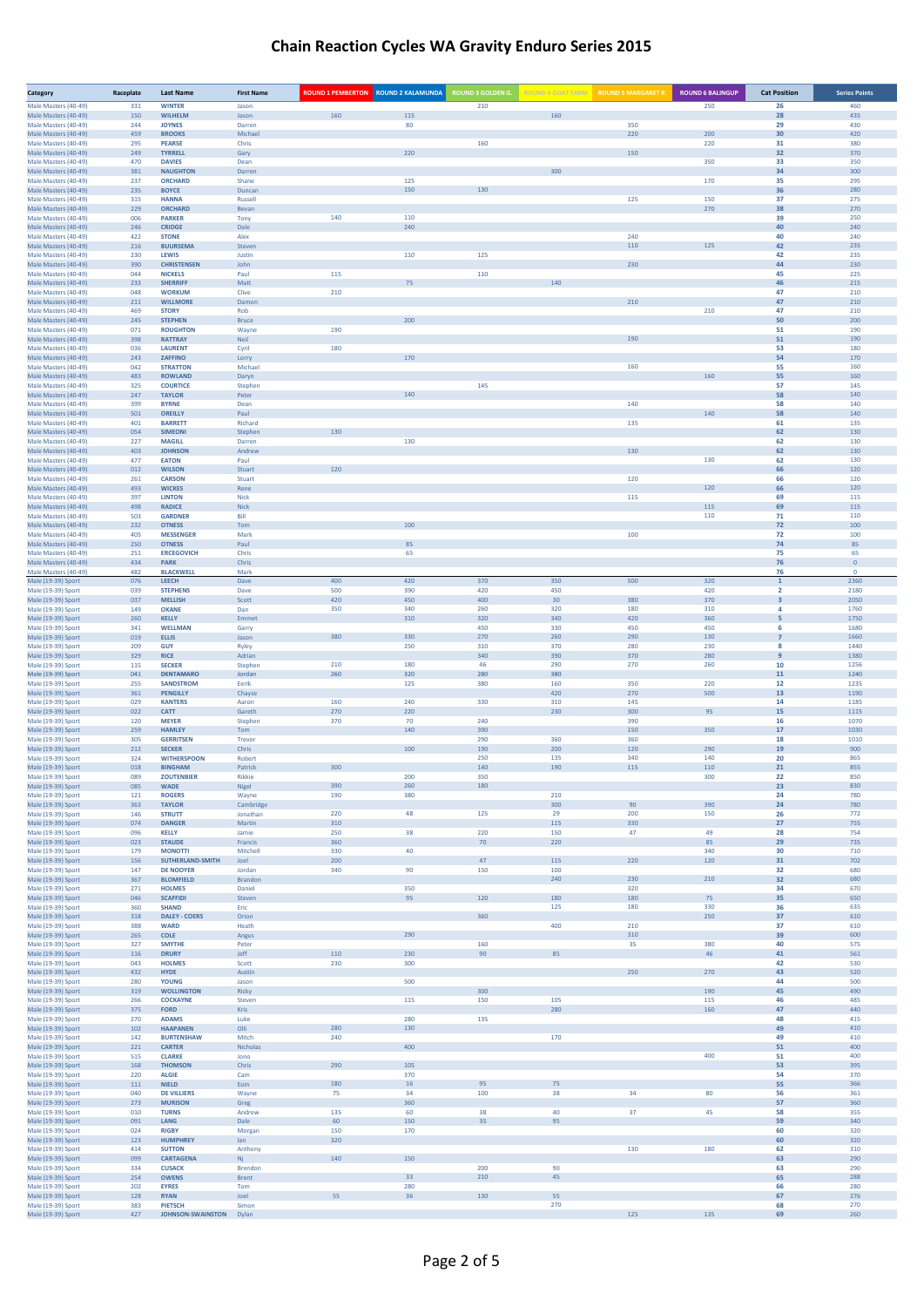| Category                                     | Raceplate  | <b>Last Name</b>                     | <b>First Name</b>   | <b>ROUND 1 PEMBERTON ROUND 2 KALAMUNDA</b> |            | <b>ROUND 3 GOLDEN G.</b> | <b>ROUND 4 GOAT FARM</b> | <b>ROUND 5 MARGARET R.</b> | <b>ROUND 6 BALINGUP</b> | <b>Cat Position</b>          | <b>Series Points</b> |
|----------------------------------------------|------------|--------------------------------------|---------------------|--------------------------------------------|------------|--------------------------|--------------------------|----------------------------|-------------------------|------------------------------|----------------------|
| Male Masters (40-49)<br>Male Masters (40-49) | 331<br>150 | <b>WINTER</b><br><b>WILHELM</b>      | Jason<br>Jason      | 160                                        | 115        | 210                      | 160                      |                            | 250                     | 26<br>28                     | 460<br>435           |
| Male Masters (40-49)                         | 244        | <b>JOYNES</b>                        | Darren              |                                            | 80         |                          |                          | 350                        |                         | 29                           | 430                  |
| Male Masters (40-49)<br>Male Masters (40-49) | 459<br>295 | <b>BROOKS</b><br><b>PEARSE</b>       | Michael<br>Chris    |                                            |            | 160                      |                          | 220                        | 200<br>220              | 30<br>31                     | 420<br>380           |
| Male Masters (40-49)<br>Male Masters (40-49) | 249<br>470 | <b>TYRRELL</b><br><b>DAVIES</b>      | Gary<br>Dean        |                                            | 220        |                          |                          | 150                        | 350                     | 32<br>33                     | 370<br>350           |
| Male Masters (40-49)                         | 381        | <b>NAUGHTON</b>                      | Darren              |                                            |            |                          | 300                      |                            |                         | 34                           | 300                  |
| Male Masters (40-49)<br>Male Masters (40-49) | 237<br>235 | <b>ORCHARD</b><br><b>BOYCE</b>       | Shane<br>Duncan     |                                            | 125<br>150 | 130                      |                          |                            | 170                     | 35<br>36                     | 295<br>280           |
| Male Masters (40-49)                         | 315        | <b>HANNA</b>                         | Russell             |                                            |            |                          |                          | 125                        | 150                     | 37                           | 275                  |
| Male Masters (40-49)<br>Male Masters (40-49) | 229<br>006 | <b>ORCHARD</b><br><b>PARKER</b>      | Bevan<br>Tony       | 140                                        | 110        |                          |                          |                            | 270                     | 38<br>39                     | 270<br>250           |
| Male Masters (40-49)<br>Male Masters (40-49) | 246<br>422 | <b>CRIDGE</b><br><b>STONE</b>        | Dale<br>Alex        |                                            | 240        |                          |                          | 240                        |                         | 40<br>40                     | 240<br>240           |
| Male Masters (40-49)                         | 216        | <b>BUURSEMA</b>                      | Steven              |                                            |            |                          |                          | 110                        | 125                     | 42                           | 235                  |
| Male Masters (40-49)<br>Male Masters (40-49) | 230<br>390 | LEWIS<br><b>CHRISTENSEN</b>          | Justin<br>John      |                                            | 110        | 125                      |                          | 230                        |                         | 42<br>44                     | 235<br>230           |
| Male Masters (40-49)                         | 044<br>233 | <b>NICKELS</b><br><b>SHERRIFF</b>    | Paul<br>Matt        | 115                                        | 75         | 110                      | 140                      |                            |                         | 45<br>46                     | 225<br>215           |
| Male Masters (40-49)<br>Male Masters (40-49) | 048        | <b>WORKUM</b>                        | Clive               | 210                                        |            |                          |                          |                            |                         | 47                           | 210                  |
| Male Masters (40-49)<br>Male Masters (40-49) | 211<br>469 | <b>WILLMORE</b><br><b>STORY</b>      | Damor<br>Rob        |                                            |            |                          |                          | 210                        | 210                     | 47<br>47                     | 210<br>210           |
| Male Masters (40-49)                         | 245        | <b>STEPHEN</b>                       | Bruce               |                                            | 200        |                          |                          |                            |                         | 50                           | 200                  |
| Male Masters (40-49)<br>Male Masters (40-49) | 071<br>398 | <b>ROUGHTON</b><br><b>RATTRAY</b>    | Wayne<br>Neil       | 190                                        |            |                          |                          | 190                        |                         | 51<br>51                     | 190<br>190           |
| Male Masters (40-49)<br>Male Masters (40-49) | 036<br>243 | <b>LAURENT</b><br>ZAFFINO            | Cyril<br>Lorry      | 180                                        | 170        |                          |                          |                            |                         | 53<br>54                     | 180<br>170           |
| Male Masters (40-49)                         | 042        | <b>STRATTON</b>                      | Michael             |                                            |            |                          |                          | 160                        |                         | 55                           | 160                  |
| Male Masters (40-49)<br>Male Masters (40-49) | 483<br>325 | <b>ROWLAND</b><br><b>COURTICE</b>    | Daryn<br>Stephen    |                                            |            | 145                      |                          |                            | 160                     | 55<br>57                     | 160<br>145           |
| Male Masters (40-49)                         | 247        | <b>TAYLOR</b>                        | Peter               |                                            | 140        |                          |                          |                            |                         | 58                           | 140                  |
| Male Masters (40-49)<br>Male Masters (40-49) | 399<br>501 | <b>BYRNE</b><br><b>OREILLY</b>       | Dean<br>Paul        |                                            |            |                          |                          | 140                        | 140                     | 58<br>58                     | 140<br>140           |
| Male Masters (40-49)<br>Male Masters (40-49) | 401<br>054 | <b>BARRETT</b><br><b>SIMEONI</b>     | Richard<br>Stephen  | 130                                        |            |                          |                          | 135                        |                         | 61<br>62                     | 135<br>130           |
| Male Masters (40-49)                         | 227        | <b>MAGILL</b>                        | Darren              |                                            | 130        |                          |                          |                            |                         | 62                           | 130                  |
| Male Masters (40-49)<br>Male Masters (40-49) | 403<br>477 | <b>JOHNSON</b><br><b>EATON</b>       | Andrew<br>Paul      |                                            |            |                          |                          | 130                        | 130                     | 62<br>62                     | 130<br>130           |
| Male Masters (40-49)<br>Male Masters (40-49) | 012        | <b>WILSON</b><br><b>CARSON</b>       | Stuart<br>Stuart    | 120                                        |            |                          |                          |                            |                         | 66<br>66                     | 120                  |
| Male Masters (40-49)                         | 261<br>493 | <b>WICKES</b>                        | Rene                |                                            |            |                          |                          | 120                        | 120                     | 66                           | 120<br>120           |
| Male Masters (40-49)<br>Male Masters (40-49) | 397<br>498 | <b>LINTON</b><br><b>RADICE</b>       | Nick<br>Nick        |                                            |            |                          |                          | 115                        | 115                     | 69<br>69                     | 115<br>115           |
| Male Masters (40-49)                         | 503        | <b>GARDNER</b>                       | Bill                |                                            |            |                          |                          |                            | 110                     | 71                           | 110                  |
| Male Masters (40-49)<br>Male Masters (40-49) | 232<br>405 | <b>OTNESS</b><br><b>MESSENGER</b>    | Tom<br>Mark         |                                            | 100        |                          |                          | 100                        |                         | 72<br>72                     | 100<br>100           |
| Male Masters (40-49)<br>Male Masters (40-49) | 250        | <b>OTNESS</b>                        | Paul<br>Chris       |                                            | 85         |                          |                          |                            |                         | 74<br>75                     | 85<br>65             |
| Male Masters (40-49)                         | 251<br>434 | <b>ERCEGOVICH</b><br><b>PARK</b>     | Chris               |                                            | 65         |                          |                          |                            |                         | 76                           | $\mathbf 0$          |
| Male Masters (40-49)<br>Male (19-39) Sport   | 482<br>076 | <b>BLACKWELL</b><br>LEECH            | Mark<br>Dave        | 400                                        | 420        | 370                      | 350                      | 500                        | 320                     | 76<br>$\,$ 1                 | $\mathbf 0$<br>2360  |
| Male (19-39) Sport                           | 039        | <b>STEPHENS</b>                      | Dave                | 500                                        | 390        | 420                      | 450                      |                            | 420                     | $\overline{2}$               | 2180                 |
| Male (19-39) Sport<br>Male (19-39) Sport     | 037<br>149 | <b>MELLISH</b><br><b>OKANE</b>       | Scott<br>Dan        | 420<br>350                                 | 450<br>340 | 400<br>260               | 30<br>320                | 380<br>180                 | 370<br>310              | $\overline{\mathbf{3}}$<br>4 | 2050<br>1760         |
| Male (19-39) Sport<br>Male (19-39) Sport     | 260<br>341 | <b>KELLY</b><br>WELLMAN              | Emmet               |                                            | 310        | 320<br>450               | 340<br>330               | 420<br>450                 | 360<br>450              | 5<br>6                       | 1750<br>1680         |
| Male (19-39) Sport                           | 019        | <b>ELLIS</b>                         | Garry<br>Jason      | 380                                        | 330        | 270                      | 260                      | 290                        | 130                     | $\overline{7}$               | 1660                 |
| Male (19-39) Sport<br>Male (19-39) Sport     | 209<br>329 | <b>GUY</b><br><b>RICE</b>            | Ryley<br>Adrian     |                                            | 250        | 310<br>340               | 370<br>390               | 280<br>370                 | 230<br>280              | 8<br>9                       | 1440<br>1380         |
| Male (19-39) Sport                           | 115        | <b>SECKER</b>                        | Stephen             | 210                                        | 180        | 46                       | 290                      | 270                        | 260                     | 10                           | 1256                 |
| Male (19-39) Sport<br>Male (19-39) Sport     | 041<br>255 | <b>DENTAMARO</b><br><b>SANDSTROM</b> | Jordan<br>Eerik     | 260                                        | 320<br>125 | 280<br>380               | 380<br>160               | 350                        | 220                     | 11<br>12                     | 1240<br>1235         |
| Male (19-39) Sport<br>Male (19-39) Sport     | 361<br>029 | <b>PENGILLY</b><br><b>KANTERS</b>    | Chayse<br>Aaron     | 160                                        | 240        | 330                      | 420<br>310               | 270<br>145                 | 500                     | 13<br>14                     | 1190<br>1185         |
| Male (19-39) Sport                           | 022        | CATT                                 | Gareth              | 270                                        | 220        |                          | 230                      | 300                        | 95                      | 15                           | 1115                 |
| Male (19-39) Sport<br>Male (19-39) Sport     | 120<br>259 | <b>MEYER</b><br><b>HAMLEY</b>        | Stephen<br>Tom      | 370                                        | 70<br>140  | 240<br>390               |                          | 390<br>150                 | 350                     | 16<br>$17$                   | 1070<br>1030         |
| Male (19-39) Sport                           | 305        | <b>GERRITSEN</b>                     | Trevor              |                                            |            | 290                      | 360                      | 360                        |                         | 18                           | 1010                 |
| Male (19-39) Sport<br>Male (19-39) Sport     | 212<br>324 | <b>SECKER</b><br><b>WITHERSPOON</b>  | Chris<br>Robert     |                                            | 100        | 190<br>250               | 200<br>135               | 120<br>340                 | 290<br>140              | 19<br>20                     | 900<br>865           |
| Male (19-39) Sport<br>Male (19-39) Sport     | 018<br>089 | <b>BINGHAM</b><br><b>ZOUTENBIER</b>  | Patrick<br>Rikkie   | 300                                        | 200        | 140<br>350               | 190                      | 115                        | 110<br>300              | 21<br>22                     | 855<br>850           |
| Male (19-39) Sport                           | 085        | <b>WADE</b>                          | Nigel               | 390                                        | 260        | 180                      |                          |                            |                         | 23                           | 830                  |
| Male (19-39) Sport<br>Male (19-39) Sport     | 121<br>363 | <b>ROGERS</b><br><b>TAYLOR</b>       | Wayne<br>Cambridge  | 190                                        | 380        |                          | 210<br>300               | 90                         | 390                     | 24<br>24                     | 780<br>780           |
| Male (19-39) Sport                           | 146        | <b>STRUTT</b>                        | Jonathan            | 220                                        | 48         | 125                      | 29                       | 200<br>330                 | 150                     | 26<br>27                     | 772                  |
| Male (19-39) Sport<br>Male (19-39) Sport     | 074<br>096 | <b>DANGER</b><br><b>KELLY</b>        | Martin<br>Jamie     | 310<br>250                                 | 38         | 220                      | 115<br>150               | 47                         | 49                      | 28                           | 755<br>754           |
| Male (19-39) Sport<br>Male (19-39) Sport     | 023<br>179 | <b>STAUDE</b><br><b>MONOTTI</b>      | Francis<br>Mitchell | 360<br>330                                 | 40         | 70                       | 220                      |                            | 85<br>340               | 29<br>30                     | 735<br>710           |
| Male (19-39) Sport                           | 156        | SUTHERLAND-SMITH                     | Joel                | 200                                        |            | 47                       | 115                      | 220                        | 120                     | 31                           | 702                  |
| Male (19-39) Sport<br>Male (19-39) Sport     | 147<br>367 | <b>DE NOOYER</b><br><b>BLOMFIELD</b> | Jordan<br>Brandon   | 340                                        | 90         | 150                      | 100<br>240               | 230                        | 210                     | 32<br>32                     | 680<br>680           |
| Male (19-39) Sport<br>Male (19-39) Sport     | 271<br>046 | <b>HOLMES</b><br><b>SCAFFIDI</b>     | Daniel<br>Steven    |                                            | 350<br>95  | 120                      | 180                      | 320<br>180                 | 75                      | 34<br>35                     | 670<br>650           |
| Male (19-39) Sport                           | 360        | <b>SHAND</b>                         | Eric                |                                            |            |                          | 125                      | 180                        | 330                     | 36                           | 635                  |
| Male (19-39) Sport<br>Male (19-39) Sport     | 318<br>388 | <b>DALEY - COERS</b><br><b>WARD</b>  | Orion<br>Heath      |                                            |            | 360                      | 400                      | 210                        | 250                     | 37<br>37                     | 610<br>610           |
| Male (19-39) Sport                           | 265        | COLE                                 | Angus               |                                            | 290        |                          |                          | 310                        |                         | 39                           | 600                  |
| Male (19-39) Sport<br>Male (19-39) Sport     | 327<br>116 | <b>SMYTHE</b><br><b>DRURY</b>        | Peter<br>Jeff       | 110                                        | 230        | 160<br>90                | 85                       | 35                         | 380<br>46               | 40<br>41                     | 575<br>561           |
| Male (19-39) Sport<br>Male (19-39) Sport     | 043<br>432 | <b>HOLMES</b><br><b>HYDE</b>         | Scott<br>Austin     | 230                                        | 300        |                          |                          | 250                        | 270                     | 42<br>43                     | 530<br>520           |
| Male (19-39) Sport                           | 280        | <b>YOUNG</b>                         | Jason               |                                            | 500        |                          |                          |                            |                         | 44                           | 500                  |
| Male (19-39) Sport<br>Male (19-39) Sport     | 319<br>266 | <b>WOLLINGTON</b><br><b>COCKAYNE</b> | Ricky<br>Steven     |                                            | 115        | 300<br>150               | 105                      |                            | 190<br>115              | 45<br>46                     | 490<br>485           |
| Male (19-39) Sport                           | 375        | <b>FORD</b>                          | Kris                |                                            |            |                          | 280                      |                            | 160                     | 47                           | 440                  |
| Male (19-39) Sport<br>Male (19-39) Sport     | 270<br>102 | <b>ADAMS</b><br><b>HAAPANEN</b>      | Luke<br>Olli        | 280                                        | 280<br>130 | 135                      |                          |                            |                         | 48<br>49                     | 415<br>410           |
| Male (19-39) Sport<br>Male (19-39) Sport     | 142<br>221 | <b>BURTENSHAW</b><br><b>CARTER</b>   | Mitch<br>Nicholas   | 240                                        | 400        |                          | 170                      |                            |                         | 49<br>51                     | 410<br>400           |
| Male (19-39) Sport                           | 515        | <b>CLARKE</b>                        | Jono                |                                            |            |                          |                          |                            | 400                     | 51                           | 400                  |
| Male (19-39) Sport<br>Male (19-39) Sport     | 168<br>220 | <b>THOMSON</b><br><b>ALGIE</b>       | Chris<br>Cam        | 290                                        | 105<br>370 |                          |                          |                            |                         | 53<br>54                     | 395<br>370           |
| Male (19-39) Sport                           | 111        | <b>NIELD</b>                         | Eoin                | 180                                        | 16         | 95                       | 75                       |                            |                         | 55                           | 366                  |
| Male (19-39) Sport<br>Male (19-39) Sport     | 040<br>273 | <b>DE VILLIERS</b><br><b>MURISON</b> | Wayne<br>Greg       | 75                                         | 34<br>360  | 100                      | 38                       | 34                         | 80                      | 56<br>57                     | 361<br>360           |
| Male (19-39) Sport<br>Male (19-39) Sport     | 010<br>091 | <b>TURNS</b><br>LANG                 | Andrew<br>Dale      | 135<br>60                                  | 60<br>150  | 38<br>35                 | 40<br>95                 | 37                         | 45                      | 58<br>59                     | 355<br>340           |
| Male (19-39) Sport                           | 024        | <b>RIGBY</b>                         | Morgan              | 150                                        | 170        |                          |                          |                            |                         | 60                           | 320                  |
| Male (19-39) Sport<br>Male (19-39) Sport     | 123<br>414 | <b>HUMPHREY</b><br><b>SUTTON</b>     | lan<br>Anthony      | 320                                        |            |                          |                          | 130                        | 180                     | 60<br>62                     | 320<br>310           |
| Male (19-39) Sport                           | 099<br>334 | <b>CARTAGENA</b><br><b>CUSACK</b>    | Nj<br>Brendon       | 140                                        | 150        | 200                      | 90                       |                            |                         | 63<br>63                     | 290<br>290           |
| Male (19-39) Sport<br>Male (19-39) Sport     | 254        | <b>OWENS</b>                         | <b>Brent</b>        |                                            | 33         | 210                      | 45                       |                            |                         | 65                           | 288                  |
| Male (19-39) Sport<br>Male (19-39) Sport     | 202<br>128 | <b>EYRES</b><br><b>RYAN</b>          | Tom<br>Joel         | 55                                         | 280<br>36  | 130                      | 55                       |                            |                         | 66<br>67                     | 280<br>276           |
| Male (19-39) Sport                           | 383        | <b>PIETSCH</b>                       | Simon               |                                            |            |                          | 270                      |                            |                         | 68                           | 270                  |
| Male (19-39) Sport                           | 427        | JOHNSON-SWAINSTON Dylan              |                     |                                            |            |                          |                          | 125                        | 135                     | 69                           | 260                  |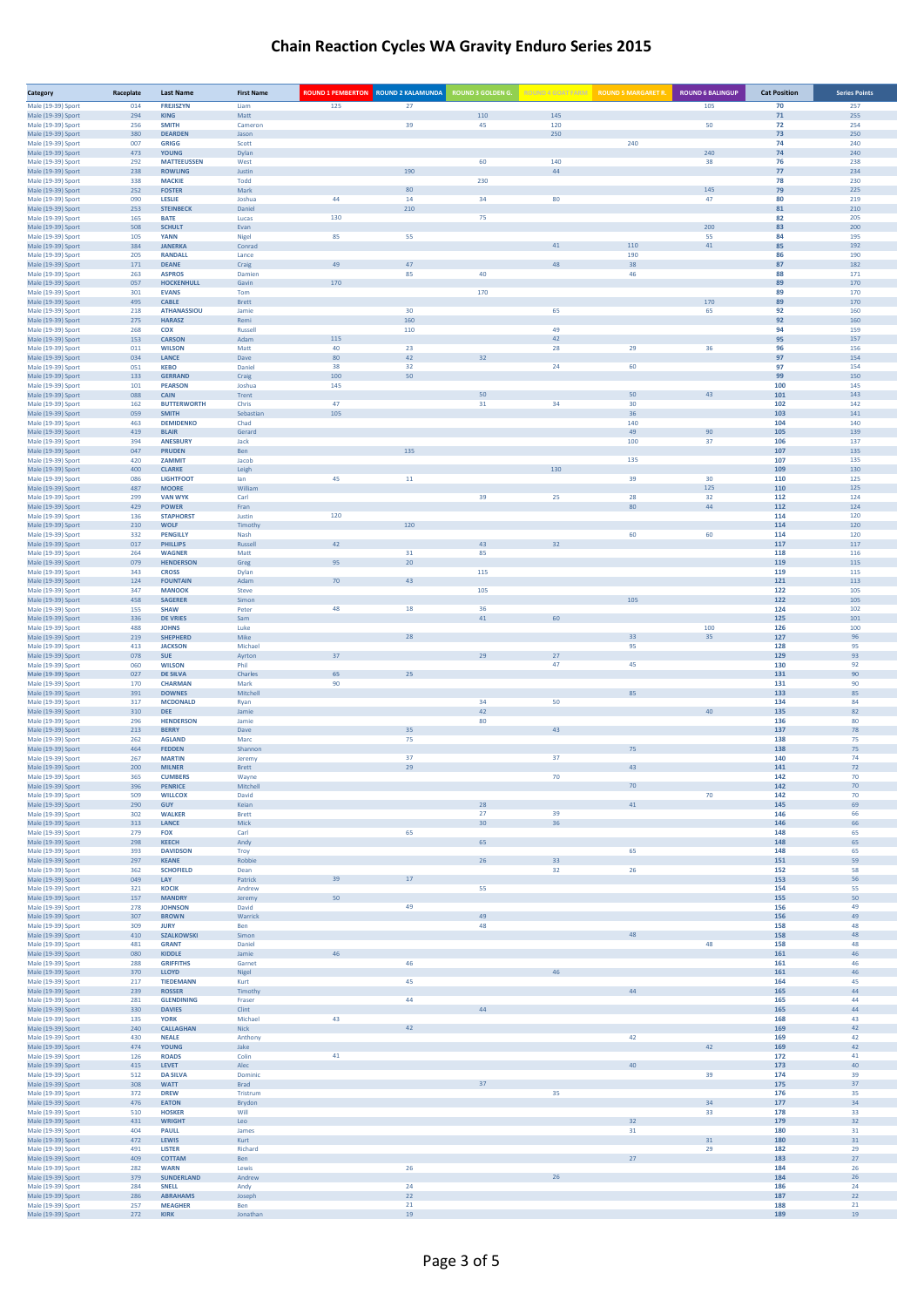| Category                                 | Raceplate  | <b>Last Name</b>                    | <b>First Name</b> | <b>ROUND 1 PEMBERTON ROUND 2 KALAMUNDA</b> |           | <b>ROUND 3 GOLDEN G.</b> |            | ROUND 4 GOAT FARM ROUND 5 MARGARET R. | <b>ROUND 6 BALINGUP</b> | <b>Cat Position</b> | <b>Series Points</b> |
|------------------------------------------|------------|-------------------------------------|-------------------|--------------------------------------------|-----------|--------------------------|------------|---------------------------------------|-------------------------|---------------------|----------------------|
| Male (19-39) Sport                       | 014        | <b>FREJISZYN</b>                    | Liam              | 125                                        | 27        |                          |            |                                       | 105                     | 70                  | 257                  |
| Male (19-39) Sport<br>Male (19-39) Sport | 294<br>256 | <b>KING</b><br><b>SMITH</b>         | Matt<br>Cameron   |                                            | 39        | 110<br>45                | 145<br>120 |                                       | 50                      | 71<br>72            | 255<br>254           |
| Male (19-39) Sport                       | 380        | <b>DEARDEN</b>                      | Jason             |                                            |           |                          | 250        |                                       |                         | 73                  | 250                  |
| Male (19-39) Sport                       | 007        | <b>GRIGG</b>                        | Scott             |                                            |           |                          |            | 240                                   |                         | 74                  | 240                  |
| Male (19-39) Sport<br>Male (19-39) Sport | 473<br>292 | <b>YOUNG</b><br><b>MATTEEUSSEN</b>  | Dylan<br>West     |                                            |           | 60                       | 140        |                                       | 240<br>38               | 74<br>76            | 240<br>238           |
| Male (19-39) Sport                       | 238        | <b>ROWLING</b>                      | Justin            |                                            | 190       |                          | 44         |                                       |                         | 77                  | 234                  |
| Male (19-39) Sport<br>Male (19-39) Sport | 338<br>252 | <b>MACKIE</b><br><b>FOSTER</b>      | Todd<br>Mark      |                                            | 80        | 230                      |            |                                       | 145                     | 78<br>79            | 230<br>225           |
| Male (19-39) Sport                       | 090        | LESLIE                              | Joshua            | 44                                         | 14        | 34                       | 80         |                                       | 47                      | 80                  | 219                  |
| Male (19-39) Sport                       | 253        | <b>STEINBECK</b>                    | Daniel            |                                            | 210       | 75                       |            |                                       |                         | 81                  | 210                  |
| Male (19-39) Sport<br>Male (19-39) Sport | 165<br>508 | <b>BATE</b><br><b>SCHULT</b>        | Lucas<br>Evan     | 130                                        |           |                          |            |                                       | 200                     | 82<br>83            | 205<br>200           |
| Male (19-39) Sport                       | 105        | <b>YANN</b>                         | Nigel             | 85                                         | 55        |                          |            |                                       | 55                      | 84                  | 195                  |
| Male (19-39) Sport<br>Male (19-39) Sport | 384<br>205 | <b>JANERKA</b><br><b>RANDALL</b>    | Conrad<br>Lance   |                                            |           |                          | 41         | 110<br>190                            | 41                      | 85<br>86            | 192<br>190           |
| Male (19-39) Sport                       | 171        | <b>DEANE</b>                        | Craig             | 49                                         | 47        |                          | 48         | 38                                    |                         | 87                  | 182                  |
| Male (19-39) Sport                       | 263        | <b>ASPROS</b>                       | Damien            |                                            | 85        | 40                       |            | 46                                    |                         | 88                  | 171                  |
| Male (19-39) Sport<br>Male (19-39) Sport | 057<br>301 | <b>HOCKENHULL</b><br><b>EVANS</b>   | Gavin<br>Tom      | 170                                        |           | 170                      |            |                                       |                         | 89<br>89            | 170<br>170           |
| Male (19-39) Sport                       | 495        | <b>CABLE</b>                        | <b>Brett</b>      |                                            |           |                          |            |                                       | 170                     | 89                  | 170                  |
| Male (19-39) Sport                       | 218        | <b>ATHANASSIOU</b><br><b>HARASZ</b> | Jamie<br>Remi     |                                            | 30<br>160 |                          | 65         |                                       | 65                      | 92<br>92            | 160<br>160           |
| Male (19-39) Sport<br>Male (19-39) Sport | 275<br>268 | COX                                 | Russell           |                                            | 110       |                          | 49         |                                       |                         | 94                  | 159                  |
| Male (19-39) Sport                       | 153        | <b>CARSON</b>                       | Adam              | 115                                        |           |                          | 42         |                                       |                         | 95                  | 157                  |
| Male (19-39) Sport<br>Male (19-39) Sport | 011<br>034 | <b>WILSON</b><br>LANCE              | Matt<br>Dave      | 40<br>80                                   | 23<br>42  | 32                       | 28         | 29                                    | 36                      | 96<br>97            | 156<br>154           |
| Male (19-39) Sport                       | 051        | <b>KEBO</b>                         | Daniel            | 38                                         | 32        |                          | 24         | 60                                    |                         | 97                  | 154                  |
| Male (19-39) Sport                       | 133        | <b>GERRAND</b>                      | Craig             | 100                                        | 50        |                          |            |                                       |                         | 99                  | 150                  |
| Male (19-39) Sport<br>Male (19-39) Sport | 101<br>088 | <b>PEARSON</b><br>CAIN              | Joshua<br>Trent   | 145                                        |           | 50                       |            | 50                                    | 43                      | 100<br>101          | 145<br>143           |
| Male (19-39) Sport                       | 162        | <b>BUTTERWORTH</b>                  | Chris             | 47                                         |           | 31                       | 34         | 30 <sub>o</sub>                       |                         | 102                 | 142                  |
| Male (19-39) Sport<br>Male (19-39) Sport | 059<br>463 | <b>SMITH</b><br><b>DEMIDENKO</b>    | Sebastia<br>Chad  | 105                                        |           |                          |            | 36<br>140                             |                         | 103<br>104          | 141<br>140           |
| Male (19-39) Sport                       | 419        | <b>BLAIR</b>                        | Gerard            |                                            |           |                          |            | 49                                    | 90                      | 105                 | 139                  |
| Male (19-39) Sport                       | 394        | <b>ANESBURY</b>                     | Jack              |                                            |           |                          |            | 100                                   | 37                      | 106                 | 137                  |
| Male (19-39) Sport<br>Male (19-39) Sport | 047<br>420 | <b>PRUDEN</b><br>ZAMMIT             | Ben<br>Jacob      |                                            | 135       |                          |            | 135                                   |                         | 107<br>107          | 135<br>135           |
| Male (19-39) Sport                       | 400        | <b>CLARKE</b>                       | Leigh             |                                            |           |                          | 130        |                                       |                         | 109                 | 130                  |
| Male (19-39) Sport                       | 086        | <b>LIGHTFOOT</b>                    | lan               | 45                                         | 11        |                          |            | 39                                    | 30                      | 110                 | 125                  |
| Male (19-39) Sport<br>Male (19-39) Sport | 487<br>299 | <b>MOORE</b><br><b>VAN WYK</b>      | William<br>Carl   |                                            |           | 39                       | 25         | 28                                    | 125<br>32               | 110<br>112          | 125<br>124           |
| Male (19-39) Sport                       | 429        | <b>POWER</b>                        | Fran              |                                            |           |                          |            | 80                                    | 44                      | 112                 | 124                  |
| Male (19-39) Sport                       | 136<br>210 | <b>STAPHORST</b><br><b>WOLF</b>     | Justin<br>Timothy | 120                                        | 120       |                          |            |                                       |                         | 114<br>114          | 120<br>120           |
| Male (19-39) Sport<br>Male (19-39) Sport | 332        | <b>PENGILLY</b>                     | Nash              |                                            |           |                          |            | 60                                    | 60                      | 114                 | 120                  |
| Male (19-39) Sport                       | 017        | <b>PHILLIPS</b>                     | Russell           | 42                                         |           | 43                       | 32         |                                       |                         | 117                 | 117                  |
| Male (19-39) Sport<br>Male (19-39) Sport | 264<br>079 | <b>WAGNER</b><br><b>HENDERSON</b>   | Matt<br>Greg      | 95                                         | 31<br>20  | 85                       |            |                                       |                         | 118<br>119          | 116<br>115           |
| Male (19-39) Sport                       | 343        | <b>CROSS</b>                        | Dylan             |                                            |           | 115                      |            |                                       |                         | 119                 | 115                  |
| Male (19-39) Sport                       | 124        | <b>FOUNTAIN</b>                     | Adam              | $70$                                       | 43        |                          |            |                                       |                         | 121                 | 113                  |
| Male (19-39) Sport<br>Male (19-39) Sport | 347<br>458 | <b>MANOOK</b><br><b>SAGERER</b>     | Steve<br>Simon    |                                            |           | 105                      |            | 105                                   |                         | 122<br>122          | 105<br>105           |
| Male (19-39) Sport                       | 155        | <b>SHAW</b>                         | Peter             | 48                                         | $18\,$    | 36                       |            |                                       |                         | 124                 | 102                  |
| Male (19-39) Sport                       | 336        | <b>DE VRIES</b>                     | Sam               |                                            |           | 41                       | 60         |                                       | 100                     | 125                 | 101                  |
| Male (19-39) Sport<br>Male (19-39) Sport | 488<br>219 | <b>JOHNS</b><br><b>SHEPHERD</b>     | Luke<br>Mike      |                                            | 28        |                          |            | 33                                    | 35                      | 126<br>127          | 100<br>96            |
| Male (19-39) Sport                       | 413        | <b>JACKSON</b>                      | Michael           |                                            |           |                          |            | 95                                    |                         | 128                 | 95                   |
| Male (19-39) Sport<br>Male (19-39) Sport | 078<br>060 | <b>SUE</b><br><b>WILSON</b>         | Ayrton<br>Phil    | 37                                         |           |                          | 27<br>47   | 45                                    |                         | 129<br>130          | 93<br>92             |
| Male (19-39) Sport                       | 027        | <b>DE SILVA</b>                     | Charles           | 65                                         | 25        |                          |            |                                       |                         | 131                 | 90                   |
| Male (19-39) Sport                       | 170        | <b>CHARMAN</b>                      | Mark              | 90                                         |           |                          |            |                                       |                         | 131<br>133          | 90                   |
| Male (19-39) Sport<br>Male (19-39) Sport | 391<br>317 | <b>DOWNES</b><br><b>MCDONALD</b>    | Mitchel<br>Ryan   |                                            |           | 34                       | 50         | 85                                    |                         | 134                 | 85<br>84             |
| Male (19-39) Sport                       | 310        | <b>DEE</b>                          | Jamie             |                                            |           | 42                       |            |                                       |                         | 135                 | 82                   |
| Male (19-39) Sport<br>Male (19-39) Sport | 296<br>213 | <b>HENDERSON</b><br><b>BERRY</b>    | Jamie<br>Dave     |                                            | 35        | 80                       | 43         |                                       |                         | 136<br>137          | 80<br>78             |
| Male (19-39) Sport                       | 262        | <b>AGLAND</b>                       | Marc              |                                            | 75        |                          |            |                                       |                         | 138                 | 75                   |
| Male (19-39) Sport<br>Male (19-39) Sport | 464        | <b>FEDDEN</b>                       | Shannor           |                                            | 37        |                          | 37         | 75                                    |                         | 138                 | 75                   |
| Male (19-39) Sport                       | 267<br>200 | <b>MARTIN</b><br><b>MILNER</b>      | Jeremy<br>Brett   |                                            | 29        |                          |            | 43                                    |                         | 140<br>141          | 74<br>72             |
| Male (19-39) Sport                       | 365        | <b>CUMBERS</b>                      | Wayne             |                                            |           |                          | 70         |                                       |                         | 142                 | 70                   |
| Male (19-39) Sport<br>Male (19-39) Sport | 396<br>509 | <b>PENRICE</b><br><b>WILLCOX</b>    | Mitche<br>David   |                                            |           |                          |            |                                       | 70                      | 142<br>142          | 70                   |
| Male (19-39) Sport                       | 290        | <b>GUY</b>                          | Keian             |                                            |           | 28                       |            | 41                                    |                         | 145                 | 69                   |
| Male (19-39) Sport                       | 302        | <b>WALKER</b>                       | <b>Brett</b>      |                                            |           | 27                       | 39         |                                       |                         | 146                 | 66                   |
| Male (19-39) Sport<br>Male (19-39) Sport | 313<br>279 | LANCE<br><b>FOX</b>                 | Mick<br>Carl      |                                            | 65        | 30                       | 36         |                                       |                         | 146<br>148          | 66<br>65             |
| Male (19-39) Sport                       | 298        | <b>KEECH</b>                        | Andy              |                                            |           | 65                       |            |                                       |                         | 148                 | 65                   |
| Male (19-39) Sport<br>Male (19-39) Sport | 393<br>297 | <b>DAVIDSON</b><br><b>KEANE</b>     | Troy<br>Robbie    |                                            |           | 26                       | 33         | 65                                    |                         | 148<br>151          | 65<br>59             |
| Male (19-39) Sport                       | 362        | <b>SCHOFIELD</b>                    | Dean              |                                            |           |                          | 32         | 26                                    |                         | 152                 | 58                   |
| Male (19-39) Sport                       | 049        | LAY                                 | Patrick           |                                            | 17        |                          |            |                                       |                         | 153                 | 56                   |
| Male (19-39) Sport<br>Male (19-39) Sport | 321<br>157 | <b>KOCIK</b><br><b>MANDRY</b>       | Andrew<br>Jeremy  |                                            |           | 55                       |            |                                       |                         | 154<br>155          | 55<br>50             |
| Male (19-39) Sport                       | 278        | <b>JOHNSON</b>                      | David             |                                            | 49        |                          |            |                                       |                         | 156                 | 49                   |
| Male (19-39) Sport<br>Male (19-39) Sport | 307<br>309 | <b>BROWN</b><br><b>JURY</b>         | Warrick<br>Ben    |                                            |           | 49<br>48                 |            |                                       |                         | 156<br>158          | 49<br>48             |
| Male (19-39) Sport                       | 410        | <b>SZALKOWSKI</b>                   | Simon             |                                            |           |                          |            |                                       |                         | 158                 | 48                   |
| Male (19-39) Sport                       | 481        | <b>GRANT</b>                        | Daniel            |                                            |           |                          |            |                                       | 48                      | 158                 | 48                   |
| Male (19-39) Sport<br>Male (19-39) Sport | 080<br>288 | <b>KIDDLE</b><br><b>GRIFFITHS</b>   | Jamie<br>Garnet   |                                            | 46        |                          |            |                                       |                         | 161<br>161          | 46<br>46             |
| Male (19-39) Sport                       | 370        | LLOYD                               | Nigel             |                                            |           |                          |            |                                       |                         | 161                 | 46                   |
| Male (19-39) Sport                       | 217        | <b>TIEDEMANN</b>                    | Kurt              |                                            | 45        |                          |            | 44                                    |                         | 164                 | 45                   |
| Male (19-39) Sport<br>Male (19-39) Sport | 239<br>281 | <b>ROSSER</b><br><b>GLENDINING</b>  | Timothy<br>Fraser |                                            | 44        |                          |            |                                       |                         | 165<br>165          | 44<br>44             |
| Male (19-39) Sport                       | 330        | <b>DAVIES</b>                       | Clint             |                                            |           | 44                       |            |                                       |                         | 165                 | 44                   |
| Male (19-39) Sport<br>Male (19-39) Sport | 135<br>240 | <b>YORK</b><br><b>CALLAGHAN</b>     | Michael<br>Nick   | 43                                         | 42        |                          |            |                                       |                         | 168<br>169          | 43<br>42             |
| Male (19-39) Sport                       | 430        | <b>NEALE</b>                        | Anthony           |                                            |           |                          |            | 42                                    |                         | 169                 | 42                   |
| Male (19-39) Sport                       | 474        | <b>YOUNG</b>                        | Jake              |                                            |           |                          |            |                                       | 42                      | 169                 | 42                   |
| Male (19-39) Sport<br>Male (19-39) Sport | 126<br>415 | <b>ROADS</b><br>LEVET               | Colin<br>Alec     | 41                                         |           |                          |            | 40                                    |                         | 172<br>173          | 41<br>40             |
| Male (19-39) Sport                       | 512        | <b>DA SILVA</b>                     | Dominic           |                                            |           |                          |            |                                       | 39                      | 174                 | 39                   |
| Male (19-39) Sport                       | 308<br>372 | <b>WATT</b><br><b>DREW</b>          | Brad<br>Tristrum  |                                            |           |                          | 35         |                                       |                         | 175<br>176          | 37<br>35             |
| Male (19-39) Sport<br>Male (19-39) Sport | 476        | <b>EATON</b>                        | Brydon            |                                            |           |                          |            |                                       | 34                      | 177                 | 34                   |
| Male (19-39) Sport                       | 510        | <b>HOSKER</b>                       | Will              |                                            |           |                          |            |                                       | 33                      | 178                 | 33                   |
| Male (19-39) Sport<br>Male (19-39) Sport | 431<br>404 | <b>WRIGHT</b><br><b>PAULL</b>       | Leo<br>James      |                                            |           |                          |            | 32<br>31                              |                         | 179<br>180          | 32<br>31             |
| Male (19-39) Sport                       | 472        | LEWIS                               | Kurt              |                                            |           |                          |            |                                       | 31                      | 180                 | 31                   |
| Male (19-39) Sport                       | 491        | <b>LISTER</b>                       | Richard           |                                            |           |                          |            |                                       | 29                      | 182                 | 29                   |
| Male (19-39) Sport<br>Male (19-39) Sport | 409<br>282 | COTTAM<br><b>WARN</b>               | Ben<br>Lewis      |                                            | 26        |                          |            | 27                                    |                         | 183<br>184          | 27<br>26             |
| Male (19-39) Sport                       | 379        | <b>SUNDERLAND</b>                   | Andrew            |                                            |           |                          | 26         |                                       |                         | 184                 | 26                   |
| Male (19-39) Sport<br>Male (19-39) Sport | 284<br>286 | <b>SNELL</b><br><b>ABRAHAMS</b>     | Andy<br>Joseph    |                                            | 24<br>22  |                          |            |                                       |                         | 186<br>187          | 24<br>22             |
| Male (19-39) Sport                       | 257        | <b>MEAGHER</b>                      | Ben               |                                            | 21        |                          |            |                                       |                         | 188                 | 21                   |
| Male (19-39) Sport                       | 272        | <b>KIRK</b>                         | Jonathan          |                                            | 19        |                          |            |                                       |                         | 189                 | 19                   |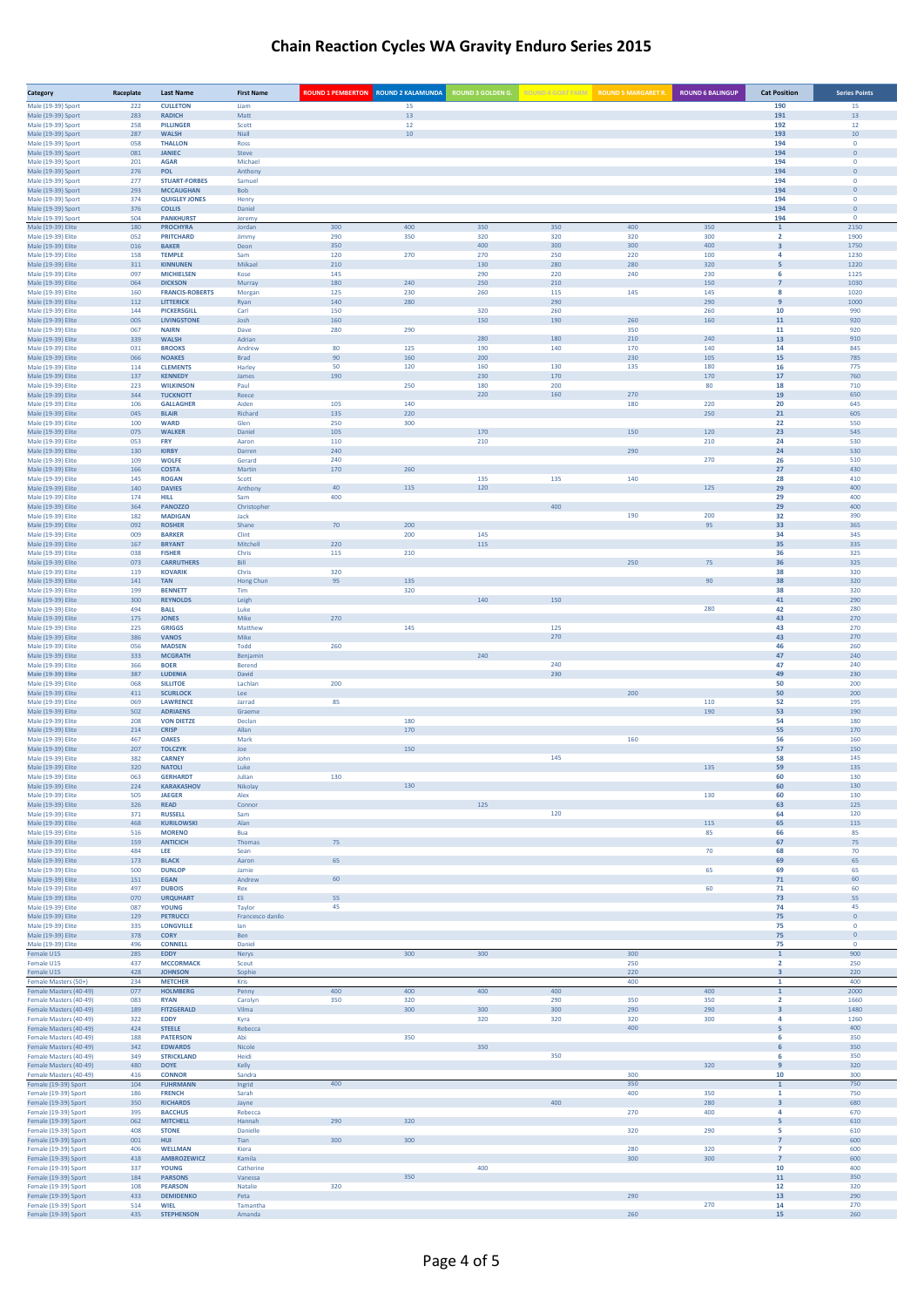| Category                                         | Raceplate  | <b>Last Name</b>                         | <b>First Name</b>   | <b>ROUND 1 PEMBERTON ROUND 2 KALAMUNDA</b> |            | <b>ROUND 3 GOLDEN G.</b> |            | ROUND 4 GOAT FARM ROUND 5 MARGARET R. | <b>ROUND 6 BALINGUP</b> | <b>Cat Position</b>                       | <b>Series Points</b>           |
|--------------------------------------------------|------------|------------------------------------------|---------------------|--------------------------------------------|------------|--------------------------|------------|---------------------------------------|-------------------------|-------------------------------------------|--------------------------------|
| Male (19-39) Sport                               | 222        | <b>CULLETON</b>                          | Liam                |                                            | 15         |                          |            |                                       |                         | 190                                       | 15                             |
| Male (19-39) Sport<br>Male (19-39) Sport         | 283<br>258 | <b>RADICH</b><br><b>PILLINGER</b>        | Matt<br>Scott       |                                            | 13<br>12   |                          |            |                                       |                         | 191<br>192                                | 13<br>12                       |
| Male (19-39) Sport                               | 287        | <b>WALSH</b>                             | Niall               |                                            | $10\,$     |                          |            |                                       |                         | 193                                       | $10\,$                         |
| Male (19-39) Sport                               | 058        | <b>THALLON</b>                           | Ross                |                                            |            |                          |            |                                       |                         | 194                                       | $\mathbf{0}$                   |
| Male (19-39) Sport<br>Male (19-39) Sport         | 081<br>201 | <b>JANIEC</b><br><b>AGAR</b>             | Steve<br>Michael    |                                            |            |                          |            |                                       |                         | 194<br>194                                | $\overline{0}$<br>$\mathbf{0}$ |
| Male (19-39) Sport                               | 276        | POL                                      | Anthony             |                                            |            |                          |            |                                       |                         | 194                                       | $\overline{0}$                 |
| Male (19-39) Sport                               | 277        | <b>STUART-FORBES</b>                     | Samuel              |                                            |            |                          |            |                                       |                         | 194                                       | $\mathbf{0}$                   |
| Male (19-39) Sport<br>Male (19-39) Sport         | 293<br>374 | <b>MCCAUGHAN</b><br><b>QUIGLEY JONES</b> | Bob<br>Henry        |                                            |            |                          |            |                                       |                         | 194<br>194                                | $\overline{0}$<br>$\mathbf{0}$ |
| Male (19-39) Sport                               | 376        | <b>COLLIS</b>                            | Daniel              |                                            |            |                          |            |                                       |                         | 194                                       | $\mathbf 0$                    |
| Male (19-39) Sport                               | 504        | <b>PANKHURST</b>                         | Jeremy              |                                            |            |                          |            |                                       |                         | 194                                       | $\circ$                        |
| Male (19-39) Elite<br>Male (19-39) Elite         | 180<br>052 | <b>PROCHYRA</b><br><b>PRITCHARD</b>      | Jordan<br>Jimmy     | 300<br>290                                 | 400<br>350 | 350<br>320               | 350<br>320 | 400<br>320                            | 350<br>300              | $\mathbf{1}$<br>$\overline{2}$            | 2150<br>1900                   |
| Male (19-39) Elite                               | 016        | <b>BAKER</b>                             | Deon                | 350                                        |            | 400                      | 300        | 300                                   | 400                     | $\overline{\mathbf{3}}$                   | 1750                           |
| Male (19-39) Elite                               | 158        | <b>TEMPLE</b>                            | Sam                 | 120                                        | 270        | 270                      | 250        | 220                                   | 100                     | 4                                         | 1230                           |
| Male (19-39) Elite<br>Male (19-39) Elite         | 311<br>097 | <b>KINNUNEN</b><br><b>MICHIELSEN</b>     | Miikael<br>Kose     | 210<br>145                                 |            | 130<br>290               | 280<br>220 | 280<br>240                            | 320<br>230              | 5<br>6                                    | 1220<br>1125                   |
| Male (19-39) Elite                               | 064        | <b>DICKSON</b>                           | Murray              | 180                                        | 240        | 250                      | 210        |                                       | 150                     | $\overline{7}$                            | 1030                           |
| Male (19-39) Elite                               | 160        | <b>FRANCIS-ROBERTS</b>                   | Morgan              | 125                                        | 230        | 260                      | 115        | 145                                   | 145                     | 8                                         | 1020                           |
| Male (19-39) Elite                               | 112        | <b>LITTERICK</b>                         | Ryan                | 140                                        | 280        |                          | 290        |                                       | 290                     | 9                                         | 1000                           |
| Male (19-39) Elite<br>Male (19-39) Elite         | 144<br>005 | <b>PICKERSGILL</b><br><b>LIVINGSTONE</b> | Carl<br>Josh        | 150<br>160                                 |            | 320<br>150               | 260<br>190 | 260                                   | 260<br>160              | 10<br>11                                  | 990<br>920                     |
| Male (19-39) Elite                               | 067        | <b>NAIRN</b>                             | Dave                | 280                                        | 290        |                          |            | 350                                   |                         | 11                                        | 920                            |
| Male (19-39) Elite                               | 339        | <b>WALSH</b>                             | Adrian              |                                            |            | 280                      | 180        | 210                                   | 240                     | 13                                        | 910                            |
| Male (19-39) Elite<br>Male (19-39) Elite         | 031<br>066 | <b>BROOKS</b><br><b>NOAKES</b>           | Andrew<br>Brad      | 80<br>90                                   | 125<br>160 | 190<br>200               | 140        | 170<br>230                            | 140<br>105              | 14<br>15                                  | 845<br>785                     |
| Male (19-39) Elite                               | 114        | <b>CLEMENTS</b>                          | Harley              | 50                                         | 120        | 160                      | 130        | 135                                   | 180                     | 16                                        | 775                            |
| Male (19-39) Elite                               | 137        | <b>KENNEDY</b>                           | James               | 190                                        |            | 230                      | 170        |                                       | 170                     | 17                                        | 760                            |
| Male (19-39) Elite<br>Male (19-39) Elite         | 223<br>344 | <b>WILKINSON</b><br><b>TUCKNOTT</b>      | Paul<br>Reece       |                                            | 250        | 180<br>220               | 200<br>160 | 270                                   | 80                      | 18<br>19                                  | 710<br>650                     |
| Male (19-39) Elite                               | 106        | <b>GALLAGHER</b>                         | Aiden               | 105                                        | 140        |                          |            | 180                                   | 220                     | 20                                        | 645                            |
| Male (19-39) Elite                               | 045        | <b>BLAIR</b>                             | Richard             | 135                                        | 220        |                          |            |                                       | 250                     | 21                                        | 605                            |
| Male (19-39) Elite<br>Male (19-39) Elite         | 100<br>075 | <b>WARD</b><br><b>WALKER</b>             | Glen<br>Daniel      | 250<br>105                                 | 300        | 170                      |            | 150                                   | 120                     | 22<br>23                                  | 550<br>545                     |
| Male (19-39) Elite                               | 053        | FRY                                      | Aaron               | 110                                        |            | 210                      |            |                                       | 210                     | 24                                        | 530                            |
| Male (19-39) Elite                               | 130        | <b>KIRBY</b>                             | Darren              | 240                                        |            |                          |            | 290                                   |                         | 24                                        | 530                            |
| Male (19-39) Elite                               | 109<br>166 | <b>WOLFE</b><br><b>COSTA</b>             | Gerard<br>Martin    | 240<br>170                                 | 260        |                          |            |                                       | 270                     | 26<br>27                                  | 510<br>430                     |
| Male (19-39) Elite<br>Male (19-39) Elite         | 145        | <b>ROGAN</b>                             | Scott               |                                            |            | 135                      | 135        | 140                                   |                         | 28                                        | 410                            |
| Male (19-39) Elite                               | 140        | <b>DAVIES</b>                            | Anthony             | 40                                         | 115        | 120                      |            |                                       | 125                     | 29                                        | 400                            |
| Male (19-39) Elite                               | 174        | <b>HILL</b>                              | Sam                 | 400                                        |            |                          |            |                                       |                         | 29                                        | 400                            |
| Male (19-39) Elite<br>Male (19-39) Elite         | 364<br>182 | <b>PANOZZO</b><br><b>MADIGAN</b>         | Christopher<br>Jack |                                            |            |                          | 400        | 190                                   | 200                     | 29<br>32                                  | 400<br>390                     |
| Male (19-39) Elite                               | 092        | <b>ROSHER</b>                            | Shane               | 70                                         | 200        |                          |            |                                       | 95                      | 33                                        | 365                            |
| Male (19-39) Elite                               | 009        | <b>BARKER</b>                            | Clint               |                                            | 200        | 145                      |            |                                       |                         | 34                                        | 345                            |
| Male (19-39) Elite<br>Male (19-39) Elite         | 167<br>038 | <b>BRYANT</b><br><b>FISHER</b>           | Mitchell<br>Chris   | 220<br>115                                 | 210        | 115                      |            |                                       |                         | 35<br>36                                  | 335<br>325                     |
| Male (19-39) Elite                               | 073        | <b>CARRUTHERS</b>                        | Bill                |                                            |            |                          |            | 250                                   | 75                      | 36                                        | 325                            |
| Male (19-39) Elite                               | 119        | <b>KOVARIK</b>                           | Chris               | 320                                        |            |                          |            |                                       |                         | 38                                        | 320                            |
| Male (19-39) Elite<br>Male (19-39) Elite         | 141<br>199 | <b>TAN</b><br><b>BENNETT</b>             | Hong Chun<br>Tim    | 95                                         | 135<br>320 |                          |            |                                       | 90                      | 38<br>38                                  | 320<br>320                     |
| Male (19-39) Elite                               | 300        | <b>REYNOLDS</b>                          | Leigh               |                                            |            | 140                      | 150        |                                       |                         | 41                                        | 290                            |
| Male (19-39) Elite                               | 494        | <b>BALL</b>                              | Luke                |                                            |            |                          |            |                                       | 280                     | 42                                        | 280                            |
| Male (19-39) Elite<br>Male (19-39) Elite         | 175<br>225 | <b>JONES</b><br><b>GRIGGS</b>            | Mike<br>Matthew     | 270                                        | 145        |                          | 125        |                                       |                         | 43<br>43                                  | 270<br>270                     |
| Male (19-39) Elite                               | 386        | <b>VANOS</b>                             | Mike                |                                            |            |                          | 270        |                                       |                         | 43                                        | 270                            |
| Male (19-39) Elite                               | 056        | <b>MADSEN</b>                            | Todd                | 260                                        |            |                          |            |                                       |                         | 46                                        | 260                            |
| Male (19-39) Elite<br>Male (19-39) Elite         | 333<br>366 | <b>MCGRATH</b><br><b>BOER</b>            | Benjamin<br>Berend  |                                            |            | 240                      | 240        |                                       |                         | 47<br>47                                  | 240<br>240                     |
| Male (19-39) Elite                               | 387        | <b>LUDENIA</b>                           | David               |                                            |            |                          | 230        |                                       |                         | 49                                        | 230                            |
| Male (19-39) Elite                               | 068        | <b>SILLITOE</b>                          | Lachlan             | 200                                        |            |                          |            |                                       |                         | 50                                        | 200                            |
| Male (19-39) Elite<br>Male (19-39) Elite         | 411<br>069 | <b>SCURLOCK</b><br><b>LAWRENCE</b>       | Lee<br>Jarrad       | 85                                         |            |                          |            | 200                                   | 110                     | 50<br>52                                  | 200<br>195                     |
| Male (19-39) Elite                               | 502        | <b>ADRIAENS</b>                          | Graeme              |                                            |            |                          |            |                                       | 190                     | 53                                        | 190                            |
| Male (19-39) Elite                               | 208        | <b>VON DIETZE</b>                        | Declan              |                                            | 180        |                          |            |                                       |                         | 54                                        | 180                            |
| Male (19-39) Elite<br>Male (19-39) Elite         | 214<br>467 | <b>CRISP</b><br><b>OAKES</b>             | Allan<br>Mark       |                                            | 170        |                          |            | 160                                   |                         | 55<br>56                                  | 170<br>160                     |
| Male (19-39) Elite                               | 207        | <b>TOLCZYK</b>                           | Joe                 |                                            | 150        |                          |            |                                       |                         | 57                                        | 150                            |
| Male (19-39) Elite                               | 382        | <b>CARNEY</b>                            | John                |                                            |            |                          | 145        |                                       |                         | 58                                        | 145                            |
| Male (19-39) Elite                               | 320        | <b>NATOLI</b>                            | Luke                |                                            |            |                          |            |                                       | 135                     | 59                                        | 135                            |
| Male (19-39) Elite<br>Male (19-39) Elite         | 063<br>224 | <b>GERHARDT</b><br><b>KARAKASHOV</b>     | Julian<br>Nikolar   | 130                                        |            |                          |            |                                       |                         | 60<br>60                                  | 130<br>130                     |
| Male (19-39) Elite                               | 505        | <b>JAEGER</b>                            | Alex                |                                            |            |                          |            |                                       | 130                     | 60                                        | 130                            |
| Male (19-39) Elite                               | 326        | <b>READ</b>                              | Connor              |                                            |            | 125                      |            |                                       |                         | 63                                        | 125                            |
| Male (19-39) Elite<br>Male (19-39) Elite         | 371<br>468 | <b>RUSSELL</b><br><b>KURILOWSKI</b>      | Sam<br>Alan         |                                            |            |                          | 120        |                                       | 115                     | 64<br>65                                  | 120<br>115                     |
| Male (19-39) Elite                               | 516        | <b>MORENO</b>                            | Bua                 |                                            |            |                          |            |                                       | 85                      | 66                                        | 85                             |
| Male (19-39) Elite                               | 159        | <b>ANTICICH</b>                          | Thomas              | 75                                         |            |                          |            |                                       |                         | 67                                        | 75                             |
| Male (19-39) Elite<br>Male (19-39) Elite         | 484<br>173 | LEE<br><b>BLACK</b>                      | Sean<br>Aaron       | 65                                         |            |                          |            |                                       | 70                      | 68<br>69                                  | 70<br>65                       |
| Male (19-39) Elite                               | 500        | <b>DUNLOP</b>                            | Jamie               |                                            |            |                          |            |                                       | 65                      | 69                                        | 65                             |
| Male (19-39) Elite<br>Male (19-39) Elite         | 151<br>497 | EGAN<br><b>DUBOIS</b>                    | Andrew<br>Rex       | 60                                         |            |                          |            |                                       | 60                      | 71<br>71                                  | 60<br>60                       |
| Male (19-39) Elite                               | 070        | <b>URQUHART</b>                          | Eli                 | 55                                         |            |                          |            |                                       |                         | 73                                        | 55                             |
| Male (19-39) Elite                               | 087        | <b>YOUNG</b>                             | Taylor              | 45                                         |            |                          |            |                                       |                         | 74                                        | 45                             |
| Male (19-39) Elite                               | 129        | <b>PETRUCCI</b>                          | Francesco danilo    |                                            |            |                          |            |                                       |                         | 75                                        | $\mathbf 0$                    |
| Male (19-39) Elite<br>Male (19-39) Elite         | 335<br>378 | <b>LONGVILLE</b><br><b>CORY</b>          | lan<br>Ben          |                                            |            |                          |            |                                       |                         | 75<br>75                                  | $\circ$<br>$\mathbf 0$         |
| Male (19-39) Elite                               | 496        | <b>CONNELL</b>                           | Daniel              |                                            |            |                          |            |                                       |                         | 75                                        | $\circ$                        |
| Female U15                                       | 285        | <b>EDDY</b>                              | Nerys               |                                            | 300        | 300                      |            | 300                                   |                         | $\mathbf{1}$                              | 900                            |
| Female U15<br>Female U15                         | 437<br>428 | <b>MCCORMACK</b><br><b>JOHNSON</b>       | Scout<br>Sophie     |                                            |            |                          |            | 250<br>220                            |                         | $\overline{2}$<br>$\mathbf{3}$            | 250<br>220                     |
| Female Masters (50+)                             | 234        | <b>METCHER</b>                           | Kris                |                                            |            |                          |            | 400                                   |                         | $\mathbf{1}$                              | 400                            |
| Female Masters (40-49)                           | 077        | <b>HOLMBERG</b>                          | Penny               | 400                                        | 400        | 400                      | 400        |                                       | 400                     | $\mathbf 1$                               | 2000                           |
| Female Masters (40-49)<br>Female Masters (40-49) | 083<br>189 | <b>RYAN</b><br><b>FITZGERALD</b>         | Carolyn<br>Vilma    | 350                                        | 320<br>300 | 300                      | 290<br>300 | 350<br>290                            | 350<br>290              | $\overline{2}$<br>$\overline{\mathbf{3}}$ | 1660<br>1480                   |
| Female Masters (40-49)                           | 322        | <b>EDDY</b>                              | Kyra                |                                            |            | 320                      | 320        | 320                                   | 300                     | 4                                         | 1260                           |
| Female Masters (40-49)                           | 424        | <b>STEELE</b>                            | Rebecca             |                                            |            |                          |            | 400                                   |                         | 5                                         | 400                            |
| Female Masters (40-49)<br>Female Masters (40-49) | 188<br>342 | <b>PATERSON</b><br><b>EDWARDS</b>        | Abi<br>Nicole       |                                            | 350        | 350                      |            |                                       |                         | 6<br>6                                    | 350<br>350                     |
| Female Masters (40-49)                           | 349        | <b>STRICKLAND</b>                        | Heidi               |                                            |            |                          | 350        |                                       |                         | 6                                         | 350                            |
| Female Masters (40-49)                           | 480        | <b>DOYE</b>                              | Kelly               |                                            |            |                          |            |                                       | 320                     | 9                                         | 320                            |
| Female Masters (40-49)                           | 416        | <b>CONNOR</b>                            | Sandra              |                                            |            |                          |            | 300                                   |                         | 10                                        | 300                            |
| Female (19-39) Sport<br>Female (19-39) Sport     | 104<br>186 | <b>FUHRMANN</b><br><b>FRENCH</b>         | Ingrid<br>Sarah     | 400                                        |            |                          |            | 350<br>400                            | 350                     | $1\,$<br>1                                | 750<br>750                     |
| Female (19-39) Sport                             | 350        | <b>RICHARDS</b>                          | Jayne               |                                            |            |                          | 400        |                                       | 280                     | $\overline{\mathbf{3}}$                   | 680                            |
| Female (19-39) Sport                             | 395        | <b>BACCHUS</b>                           | Rebecca             |                                            |            |                          |            | 270                                   | 400                     | 4                                         | 670                            |
| Female (19-39) Sport<br>Female (19-39) Sport     | 062<br>408 | <b>MITCHELL</b><br><b>STONE</b>          | Hannah<br>Danielle  | 290                                        | 320        |                          |            | 320                                   | 290                     | 5<br>5                                    | 610<br>610                     |
| Female (19-39) Sport                             | 001        | <b>HUI</b>                               | Tian                | 300                                        | 300        |                          |            |                                       |                         | $\overline{7}$                            | 600                            |
| Female (19-39) Sport                             | 406        | <b>WELLMAN</b>                           | Kiera               |                                            |            |                          |            | 280                                   | 320                     | $\overline{7}$                            | 600                            |
| Female (19-39) Sport<br>Female (19-39) Sport     | 418<br>337 | <b>AMBROZEWICZ</b><br><b>YOUNG</b>       | Kamila<br>Catherine |                                            |            | 400                      |            | 300                                   | 300                     | $\overline{7}$<br>10                      | 600<br>400                     |
| Female (19-39) Sport                             | 184        | <b>PARSONS</b>                           | Vanessa             |                                            | 350        |                          |            |                                       |                         | 11                                        | 350                            |
| Female (19-39) Sport                             | 108        | <b>PEARSON</b>                           | Natalie             | 320                                        |            |                          |            |                                       |                         | 12                                        | 320                            |
| Female (19-39) Sport<br>Female (19-39) Sport     | 433<br>514 | <b>DEMIDENKO</b><br>WIEL                 | Peta<br>Tamantha    |                                            |            |                          |            | 290                                   | 270                     | 13<br>14                                  | 290<br>270                     |
| Female (19-39) Sport                             | 435        | <b>STEPHENSON</b>                        | Amanda              |                                            |            |                          |            | 260                                   |                         | 15                                        | 260                            |
|                                                  |            |                                          |                     |                                            |            |                          |            |                                       |                         |                                           |                                |